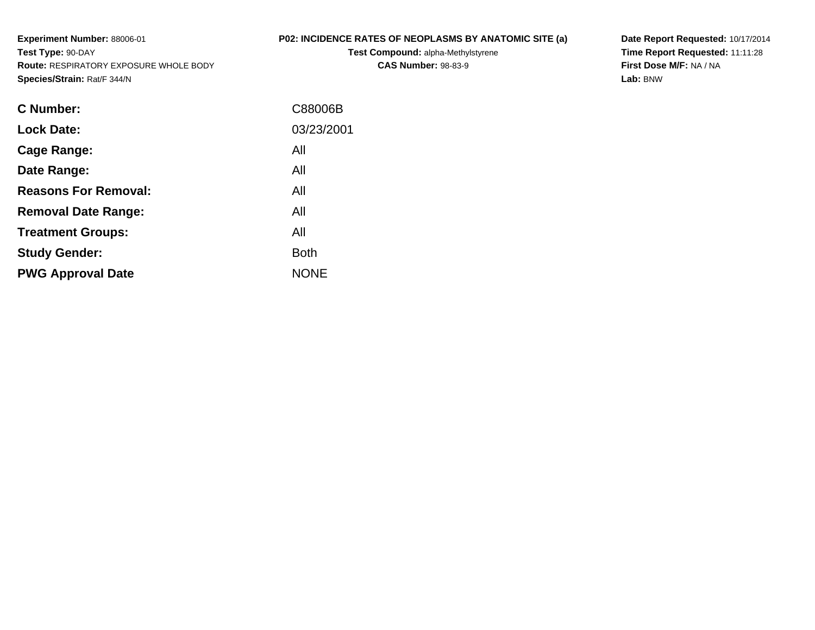**Experiment Number:** 88006-01**Test Type:** 90-DAY **Route:** RESPIRATORY EXPOSURE WHOLE BODY**Species/Strain:** Rat/F 344/N

## **P02: INCIDENCE RATES OF NEOPLASMS BY ANATOMIC SITE (a)**

**Test Compound:** alpha-Methylstyrene**CAS Number:** 98-83-9

**Date Report Requested:** 10/17/2014 **Time Report Requested:** 11:11:28**First Dose M/F:** NA / NA**Lab:** BNW

| C Number:                   | C88006B     |
|-----------------------------|-------------|
| <b>Lock Date:</b>           | 03/23/2001  |
| Cage Range:                 | All         |
| Date Range:                 | All         |
| <b>Reasons For Removal:</b> | All         |
| <b>Removal Date Range:</b>  | All         |
| <b>Treatment Groups:</b>    | All         |
| <b>Study Gender:</b>        | <b>Both</b> |
| <b>PWG Approval Date</b>    | <b>NONE</b> |
|                             |             |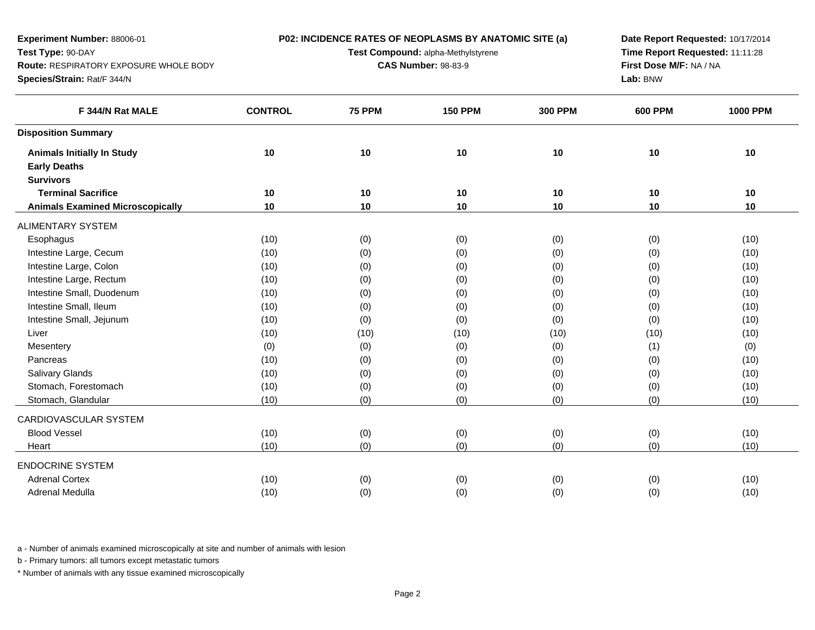| Experiment Number: 88006-01                   |                | P02: INCIDENCE RATES OF NEOPLASMS BY ANATOMIC SITE (a) | Date Report Requested: 10/17/2014 |                |                |                 |
|-----------------------------------------------|----------------|--------------------------------------------------------|-----------------------------------|----------------|----------------|-----------------|
| Test Type: 90-DAY                             |                | Test Compound: alpha-Methylstyrene                     | Time Report Requested: 11:11:28   |                |                |                 |
| <b>Route: RESPIRATORY EXPOSURE WHOLE BODY</b> |                | <b>CAS Number: 98-83-9</b>                             | First Dose M/F: NA / NA           |                |                |                 |
| Species/Strain: Rat/F 344/N                   |                |                                                        |                                   | Lab: BNW       |                |                 |
| F 344/N Rat MALE                              | <b>CONTROL</b> | <b>75 PPM</b>                                          | <b>150 PPM</b>                    | <b>300 PPM</b> | <b>600 PPM</b> | <b>1000 PPM</b> |
| <b>Disposition Summary</b>                    |                |                                                        |                                   |                |                |                 |
| <b>Animals Initially In Study</b>             | 10             | 10                                                     | 10                                | 10             | 10             | 10              |
| <b>Early Deaths</b>                           |                |                                                        |                                   |                |                |                 |
| <b>Survivors</b>                              |                |                                                        |                                   |                |                |                 |
| <b>Terminal Sacrifice</b>                     | 10             | 10                                                     | 10                                | 10             | 10             | 10              |
| <b>Animals Examined Microscopically</b>       | 10             | 10                                                     | 10                                | 10             | 10             | 10              |
| <b>ALIMENTARY SYSTEM</b>                      |                |                                                        |                                   |                |                |                 |
| Esophagus                                     | (10)           | (0)                                                    | (0)                               | (0)            | (0)            | (10)            |
| Intestine Large, Cecum                        | (10)           | (0)                                                    | (0)                               | (0)            | (0)            | (10)            |
| Intestine Large, Colon                        | (10)           | (0)                                                    | (0)                               | (0)            | (0)            | (10)            |
| Intestine Large, Rectum                       | (10)           | (0)                                                    | (0)                               | (0)            | (0)            | (10)            |
| Intestine Small, Duodenum                     | (10)           | (0)                                                    | (0)                               | (0)            | (0)            | (10)            |
| Intestine Small, Ileum                        | (10)           | (0)                                                    | (0)                               | (0)            | (0)            | (10)            |
| Intestine Small, Jejunum                      | (10)           | (0)                                                    | (0)                               | (0)            | (0)            | (10)            |
| Liver                                         | (10)           | (10)                                                   | (10)                              | (10)           | (10)           | (10)            |
| Mesentery                                     | (0)            | (0)                                                    | (0)                               | (0)            | (1)            | (0)             |
| Pancreas                                      | (10)           | (0)                                                    | (0)                               | (0)            | (0)            | (10)            |
| <b>Salivary Glands</b>                        | (10)           | (0)                                                    | (0)                               | (0)            | (0)            | (10)            |
| Stomach, Forestomach                          | (10)           | (0)                                                    | (0)                               | (0)            | (0)            | (10)            |
| Stomach, Glandular                            | (10)           | (0)                                                    | (0)                               | (0)            | (0)            | (10)            |
| CARDIOVASCULAR SYSTEM                         |                |                                                        |                                   |                |                |                 |
| <b>Blood Vessel</b>                           | (10)           | (0)                                                    | (0)                               | (0)            | (0)            | (10)            |
| Heart                                         | (10)           | (0)                                                    | (0)                               | (0)            | (0)            | (10)            |
| <b>ENDOCRINE SYSTEM</b>                       |                |                                                        |                                   |                |                |                 |
| <b>Adrenal Cortex</b>                         | (10)           | (0)                                                    | (0)                               | (0)            | (0)            | (10)            |
| Adrenal Medulla                               | (10)           | (0)                                                    | (0)                               | (0)            | (0)            | (10)            |

a - Number of animals examined microscopically at site and number of animals with lesion

b - Primary tumors: all tumors except metastatic tumors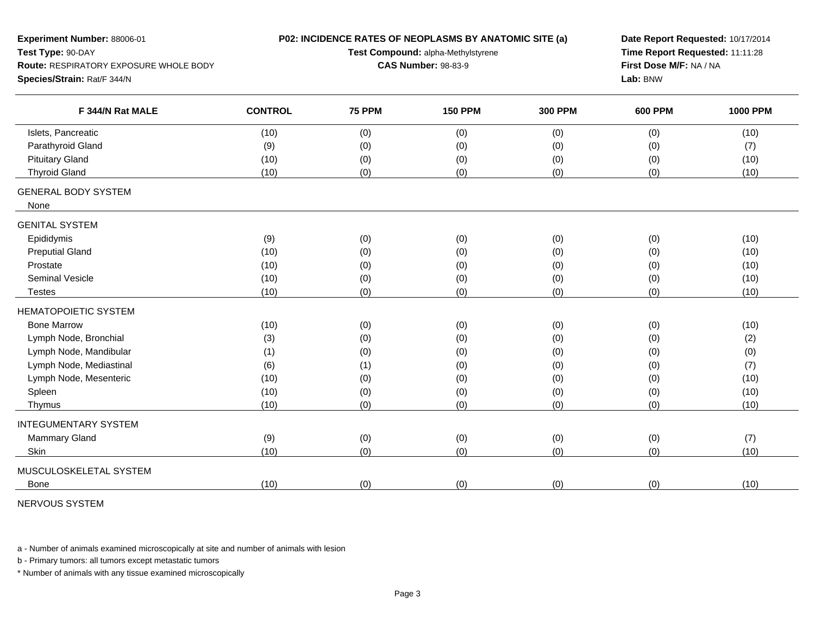| Experiment Number: 88006-01<br>Test Type: 90-DAY<br>Route: RESPIRATORY EXPOSURE WHOLE BODY<br>Species/Strain: Rat/F 344/N |                | P02: INCIDENCE RATES OF NEOPLASMS BY ANATOMIC SITE (a)<br>Test Compound: alpha-Methylstyrene<br><b>CAS Number: 98-83-9</b> | Date Report Requested: 10/17/2014<br>Time Report Requested: 11:11:28<br>First Dose M/F: NA / NA<br>Lab: BNW |                |                |                 |
|---------------------------------------------------------------------------------------------------------------------------|----------------|----------------------------------------------------------------------------------------------------------------------------|-------------------------------------------------------------------------------------------------------------|----------------|----------------|-----------------|
| F 344/N Rat MALE                                                                                                          | <b>CONTROL</b> | <b>75 PPM</b>                                                                                                              | <b>150 PPM</b>                                                                                              | <b>300 PPM</b> | <b>600 PPM</b> | <b>1000 PPM</b> |
| Islets, Pancreatic                                                                                                        | (10)           | (0)                                                                                                                        | (0)                                                                                                         | (0)            | (0)            | (10)            |
| Parathyroid Gland                                                                                                         | (9)            | (0)                                                                                                                        | (0)                                                                                                         | (0)            | (0)            | (7)             |
| <b>Pituitary Gland</b>                                                                                                    | (10)           | (0)                                                                                                                        | (0)                                                                                                         | (0)            | (0)            | (10)            |
| <b>Thyroid Gland</b>                                                                                                      | (10)           | (0)                                                                                                                        | (0)                                                                                                         | (0)            | (0)            | (10)            |
| <b>GENERAL BODY SYSTEM</b><br>None                                                                                        |                |                                                                                                                            |                                                                                                             |                |                |                 |
| <b>GENITAL SYSTEM</b>                                                                                                     |                |                                                                                                                            |                                                                                                             |                |                |                 |
| Epididymis                                                                                                                | (9)            | (0)                                                                                                                        | (0)                                                                                                         | (0)            | (0)            | (10)            |
| <b>Preputial Gland</b>                                                                                                    | (10)           | (0)                                                                                                                        | (0)                                                                                                         | (0)            | (0)            | (10)            |
| Prostate                                                                                                                  | (10)           | (0)                                                                                                                        | (0)                                                                                                         | (0)            | (0)            | (10)            |
| <b>Seminal Vesicle</b>                                                                                                    | (10)           | (0)                                                                                                                        | (0)                                                                                                         | (0)            | (0)            | (10)            |
| <b>Testes</b>                                                                                                             | (10)           | (0)                                                                                                                        | (0)                                                                                                         | (0)            | (0)            | (10)            |
| <b>HEMATOPOIETIC SYSTEM</b>                                                                                               |                |                                                                                                                            |                                                                                                             |                |                |                 |
| <b>Bone Marrow</b>                                                                                                        | (10)           | (0)                                                                                                                        | (0)                                                                                                         | (0)            | (0)            | (10)            |
| Lymph Node, Bronchial                                                                                                     | (3)            | (0)                                                                                                                        | (0)                                                                                                         | (0)            | (0)            | (2)             |
| Lymph Node, Mandibular                                                                                                    | (1)            | (0)                                                                                                                        | (0)                                                                                                         | (0)            | (0)            | (0)             |
| Lymph Node, Mediastinal                                                                                                   | (6)            | (1)                                                                                                                        | (0)                                                                                                         | (0)            | (0)            | (7)             |
| Lymph Node, Mesenteric                                                                                                    | (10)           | (0)                                                                                                                        | (0)                                                                                                         | (0)            | (0)            | (10)            |
| Spleen                                                                                                                    | (10)           | (0)                                                                                                                        | (0)                                                                                                         | (0)            | (0)            | (10)            |
| Thymus                                                                                                                    | (10)           | (0)                                                                                                                        | (0)                                                                                                         | (0)            | (0)            | (10)            |
| <b>INTEGUMENTARY SYSTEM</b>                                                                                               |                |                                                                                                                            |                                                                                                             |                |                |                 |
| <b>Mammary Gland</b>                                                                                                      | (9)            | (0)                                                                                                                        | (0)                                                                                                         | (0)            | (0)            | (7)             |
| Skin                                                                                                                      | (10)           | (0)                                                                                                                        | (0)                                                                                                         | (0)            | (0)            | (10)            |
| MUSCULOSKELETAL SYSTEM                                                                                                    |                |                                                                                                                            |                                                                                                             |                |                |                 |
| <b>Bone</b>                                                                                                               | (10)           | (0)                                                                                                                        | (0)                                                                                                         | (0)            | (0)            | (10)            |

NERVOUS SYSTEM

a - Number of animals examined microscopically at site and number of animals with lesion

b - Primary tumors: all tumors except metastatic tumors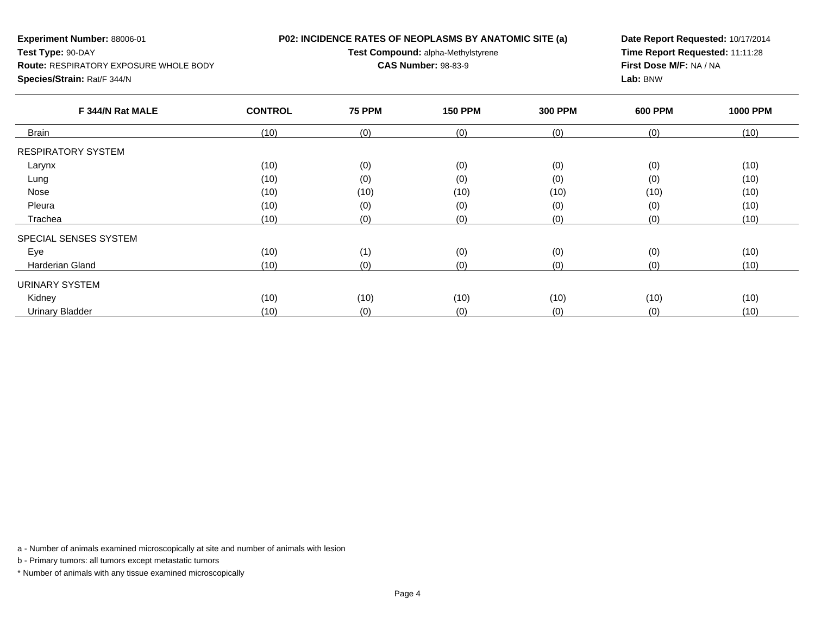| <b>Experiment Number: 88006-01</b><br>Test Type: 90-DAY                      |                | P02: INCIDENCE RATES OF NEOPLASMS BY ANATOMIC SITE (a)<br>Test Compound: alpha-Methylstyrene | Date Report Requested: 10/17/2014<br>Time Report Requested: 11:11:28 |                |         |                 |
|------------------------------------------------------------------------------|----------------|----------------------------------------------------------------------------------------------|----------------------------------------------------------------------|----------------|---------|-----------------|
| <b>Route: RESPIRATORY EXPOSURE WHOLE BODY</b><br>Species/Strain: Rat/F 344/N |                | <b>CAS Number: 98-83-9</b>                                                                   | First Dose M/F: NA / NA<br>Lab: BNW                                  |                |         |                 |
| F 344/N Rat MALE                                                             | <b>CONTROL</b> |                                                                                              | <b>150 PPM</b>                                                       | <b>300 PPM</b> | 600 PPM | <b>1000 PPM</b> |
| <b>Brain</b>                                                                 | (10)           | (0)                                                                                          | (0)                                                                  | (0)            | (0)     | (10)            |

x (10) (0) (0) (0) (0) (0) (0) (0) (10)

(10) (0) (0) (0) (0) (10)

(10) (10) (10) (10) (10) (10)

a (10) (10) (0) (0) (0) (0) (0) (0) (0) (10)

e (10) (10) (1) (0) (0) (0) (0) (0) (10)

(10) (10) (10) (10) (10) (10)

a (10) (0) (0) (0) (0) (0) (0) (10)

d (10) (0) (0) (0) (0) (0) (0) (10)

(10) (0) (0) (0) (0) (10)

a - Number of animals examined microscopically at site and number of animals with lesion

b - Primary tumors: all tumors except metastatic tumors

\* Number of animals with any tissue examined microscopically

**Date Report Requested:** 10/17/2014**Time Report Requested:** 11:11:28

## **Experiment Number:** 88006-01

RESPIRATORY SYSTEM

SPECIAL SENSES SYSTEM

Harderian Gland

URINARY SYSTEM

Urinary Bladder

Larynx

Lung

Nose

Pleura

Eye

Kidney

Trachea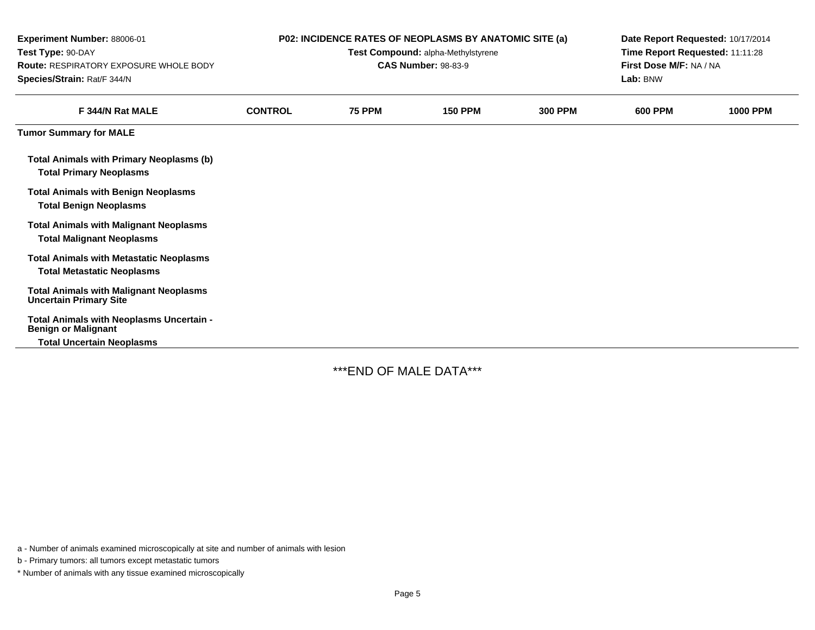| Experiment Number: 88006-01<br>Test Type: 90-DAY<br>Route: RESPIRATORY EXPOSURE WHOLE BODY<br>Species/Strain: Rat/F 344/N |                | P02: INCIDENCE RATES OF NEOPLASMS BY ANATOMIC SITE (a)<br>Test Compound: alpha-Methylstyrene<br><b>CAS Number: 98-83-9</b> | Date Report Requested: 10/17/2014<br>Time Report Requested: 11:11:28<br>First Dose M/F: NA / NA<br>Lab: BNW |                |                |                 |
|---------------------------------------------------------------------------------------------------------------------------|----------------|----------------------------------------------------------------------------------------------------------------------------|-------------------------------------------------------------------------------------------------------------|----------------|----------------|-----------------|
| F 344/N Rat MALE                                                                                                          | <b>CONTROL</b> | <b>75 PPM</b>                                                                                                              | <b>150 PPM</b>                                                                                              | <b>300 PPM</b> | <b>600 PPM</b> | <b>1000 PPM</b> |
| <b>Tumor Summary for MALE</b>                                                                                             |                |                                                                                                                            |                                                                                                             |                |                |                 |
| <b>Total Animals with Primary Neoplasms (b)</b><br><b>Total Primary Neoplasms</b>                                         |                |                                                                                                                            |                                                                                                             |                |                |                 |
| <b>Total Animals with Benign Neoplasms</b><br><b>Total Benign Neoplasms</b>                                               |                |                                                                                                                            |                                                                                                             |                |                |                 |
| <b>Total Animals with Malignant Neoplasms</b><br><b>Total Malignant Neoplasms</b>                                         |                |                                                                                                                            |                                                                                                             |                |                |                 |
| <b>Total Animals with Metastatic Neoplasms</b><br><b>Total Metastatic Neoplasms</b>                                       |                |                                                                                                                            |                                                                                                             |                |                |                 |
| <b>Total Animals with Malignant Neoplasms</b><br><b>Uncertain Primary Site</b>                                            |                |                                                                                                                            |                                                                                                             |                |                |                 |
| Total Animals with Neoplasms Uncertain -<br><b>Benign or Malignant</b><br><b>Total Uncertain Neoplasms</b>                |                |                                                                                                                            |                                                                                                             |                |                |                 |

\*\*\*END OF MALE DATA\*\*\*

a - Number of animals examined microscopically at site and number of animals with lesion

b - Primary tumors: all tumors except metastatic tumors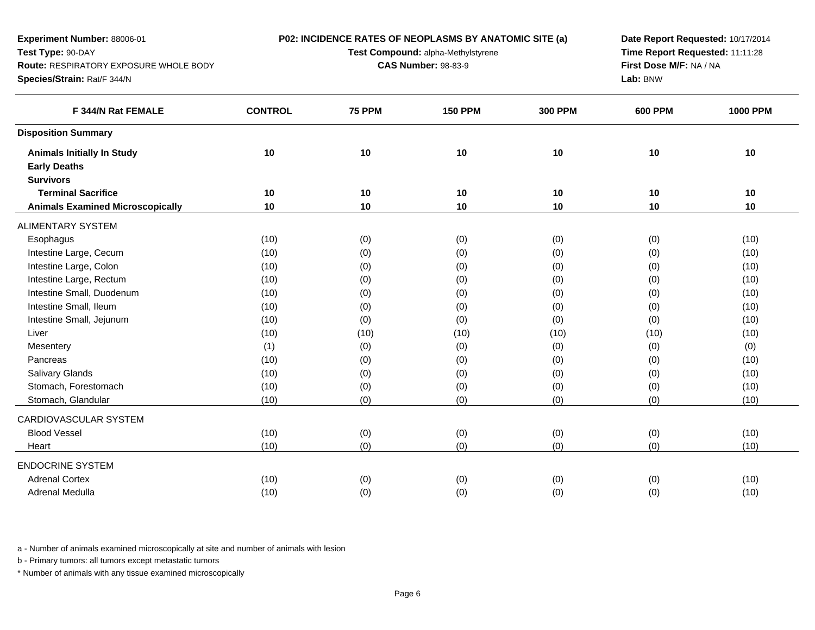| Test Type: 90-DAY<br>Test Compound: alpha-Methylstyrene<br><b>CAS Number: 98-83-9</b><br><b>Route: RESPIRATORY EXPOSURE WHOLE BODY</b><br>Species/Strain: Rat/F 344/N | Time Report Requested: 11:11:28<br>First Dose M/F: NA / NA<br>Lab: BNW<br><b>600 PPM</b><br>10 | <b>1000 PPM</b> |
|-----------------------------------------------------------------------------------------------------------------------------------------------------------------------|------------------------------------------------------------------------------------------------|-----------------|
|                                                                                                                                                                       |                                                                                                |                 |
|                                                                                                                                                                       |                                                                                                |                 |
|                                                                                                                                                                       |                                                                                                |                 |
| <b>CONTROL</b><br><b>75 PPM</b><br><b>150 PPM</b><br>F 344/N Rat FEMALE<br><b>300 PPM</b>                                                                             |                                                                                                |                 |
| <b>Disposition Summary</b>                                                                                                                                            |                                                                                                |                 |
| 10<br>10<br>10<br>10<br><b>Animals Initially In Study</b>                                                                                                             |                                                                                                | 10              |
| <b>Early Deaths</b>                                                                                                                                                   |                                                                                                |                 |
| <b>Survivors</b>                                                                                                                                                      |                                                                                                |                 |
| <b>Terminal Sacrifice</b><br>10<br>10<br>10<br>10                                                                                                                     | 10                                                                                             | 10              |
| 10<br>10<br>10<br>10<br><b>Animals Examined Microscopically</b>                                                                                                       | 10                                                                                             | 10              |
| <b>ALIMENTARY SYSTEM</b>                                                                                                                                              |                                                                                                |                 |
| (10)<br>(0)<br>(0)<br>(0)<br>Esophagus                                                                                                                                | (0)                                                                                            | (10)            |
| Intestine Large, Cecum<br>(10)<br>(0)<br>(0)<br>(0)                                                                                                                   | (0)                                                                                            | (10)            |
| Intestine Large, Colon<br>(10)<br>(0)<br>(0)<br>(0)                                                                                                                   | (0)                                                                                            | (10)            |
| Intestine Large, Rectum<br>(10)<br>(0)<br>(0)<br>(0)                                                                                                                  | (0)                                                                                            | (10)            |
| Intestine Small, Duodenum<br>(10)<br>(0)<br>(0)<br>(0)                                                                                                                | (0)                                                                                            | (10)            |
| Intestine Small, Ileum<br>(0)<br>(0)<br>(10)<br>(0)                                                                                                                   | (0)                                                                                            | (10)            |
| Intestine Small, Jejunum<br>(0)<br>(10)<br>(0)<br>(0)                                                                                                                 | (0)                                                                                            | (10)            |
| (10)<br>Liver<br>(10)<br>(10)<br>(10)                                                                                                                                 | (10)                                                                                           | (10)            |
| (0)<br>(1)<br>(0)<br>(0)<br>Mesentery                                                                                                                                 | (0)                                                                                            | (0)             |
| Pancreas<br>(10)<br>(0)<br>(0)<br>(0)                                                                                                                                 | (0)                                                                                            | (10)            |
| <b>Salivary Glands</b><br>(10)<br>(0)<br>(0)<br>(0)                                                                                                                   | (0)                                                                                            | (10)            |
| Stomach, Forestomach<br>(10)<br>(0)<br>(0)<br>(0)                                                                                                                     | (0)                                                                                            | (10)            |
| (0)<br>Stomach, Glandular<br>(10)<br>(0)<br>(0)                                                                                                                       | (0)                                                                                            | (10)            |
| CARDIOVASCULAR SYSTEM                                                                                                                                                 |                                                                                                |                 |
| <b>Blood Vessel</b><br>(0)<br>(0)<br>(10)<br>(0)                                                                                                                      | (0)                                                                                            | (10)            |
| (10)<br>(0)<br>(0)<br>(0)<br>Heart                                                                                                                                    | (0)                                                                                            | (10)            |
| <b>ENDOCRINE SYSTEM</b>                                                                                                                                               |                                                                                                |                 |
| <b>Adrenal Cortex</b><br>(10)<br>(0)<br>(0)<br>(0)                                                                                                                    | (0)                                                                                            | (10)            |
| <b>Adrenal Medulla</b><br>(10)<br>(0)<br>(0)<br>(0)                                                                                                                   | (0)                                                                                            | (10)            |

a - Number of animals examined microscopically at site and number of animals with lesion

b - Primary tumors: all tumors except metastatic tumors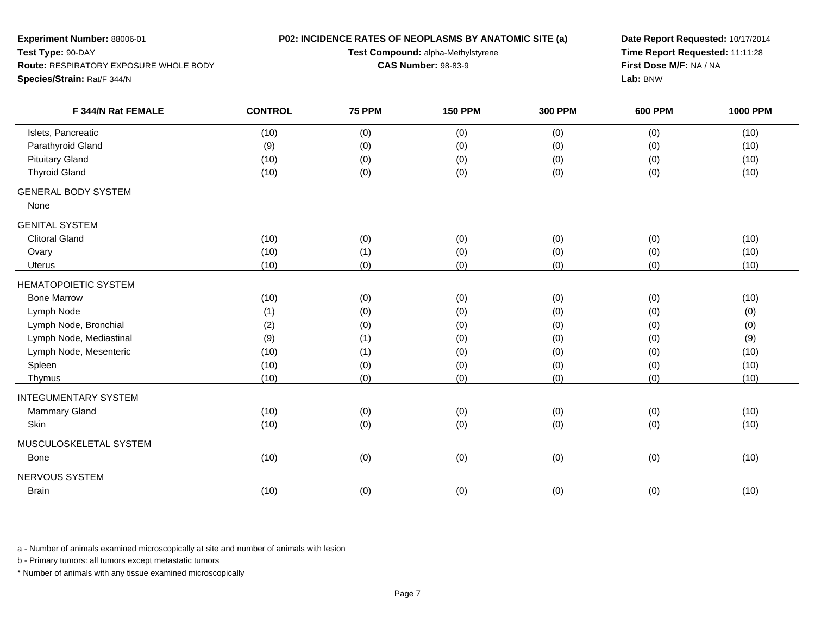| Experiment Number: 88006-01            |                | P02: INCIDENCE RATES OF NEOPLASMS BY ANATOMIC SITE (a) | Date Report Requested: 10/17/2014  |                |                                 |                 |
|----------------------------------------|----------------|--------------------------------------------------------|------------------------------------|----------------|---------------------------------|-----------------|
| Test Type: 90-DAY                      |                |                                                        | Test Compound: alpha-Methylstyrene |                | Time Report Requested: 11:11:28 |                 |
| Route: RESPIRATORY EXPOSURE WHOLE BODY |                |                                                        | <b>CAS Number: 98-83-9</b>         |                | First Dose M/F: NA / NA         |                 |
| Species/Strain: Rat/F 344/N            |                |                                                        |                                    |                | Lab: BNW                        |                 |
| F 344/N Rat FEMALE                     | <b>CONTROL</b> | <b>75 PPM</b>                                          | <b>150 PPM</b>                     | <b>300 PPM</b> | <b>600 PPM</b>                  | <b>1000 PPM</b> |
| Islets, Pancreatic                     | (10)           | (0)                                                    | (0)                                | (0)            | (0)                             | (10)            |
| Parathyroid Gland                      | (9)            | (0)                                                    | (0)                                | (0)            | (0)                             | (10)            |
| <b>Pituitary Gland</b>                 | (10)           | (0)                                                    | (0)                                | (0)            | (0)                             | (10)            |
| <b>Thyroid Gland</b>                   | (10)           | (0)                                                    | (0)                                | (0)            | (0)                             | (10)            |
| <b>GENERAL BODY SYSTEM</b>             |                |                                                        |                                    |                |                                 |                 |
| None                                   |                |                                                        |                                    |                |                                 |                 |
| <b>GENITAL SYSTEM</b>                  |                |                                                        |                                    |                |                                 |                 |
| <b>Clitoral Gland</b>                  | (10)           | (0)                                                    | (0)                                | (0)            | (0)                             | (10)            |
| Ovary                                  | (10)           | (1)                                                    | (0)                                | (0)            | (0)                             | (10)            |
| <b>Uterus</b>                          | (10)           | (0)                                                    | (0)                                | (0)            | (0)                             | (10)            |
| <b>HEMATOPOIETIC SYSTEM</b>            |                |                                                        |                                    |                |                                 |                 |
| <b>Bone Marrow</b>                     | (10)           | (0)                                                    | (0)                                | (0)            | (0)                             | (10)            |
| Lymph Node                             | (1)            | (0)                                                    | (0)                                | (0)            | (0)                             | (0)             |
| Lymph Node, Bronchial                  | (2)            | (0)                                                    | (0)                                | (0)            | (0)                             | (0)             |
| Lymph Node, Mediastinal                | (9)            | (1)                                                    | (0)                                | (0)            | (0)                             | (9)             |
| Lymph Node, Mesenteric                 | (10)           | (1)                                                    | (0)                                | (0)            | (0)                             | (10)            |
| Spleen                                 | (10)           | (0)                                                    | (0)                                | (0)            | (0)                             | (10)            |
| Thymus                                 | (10)           | (0)                                                    | (0)                                | (0)            | (0)                             | (10)            |
| <b>INTEGUMENTARY SYSTEM</b>            |                |                                                        |                                    |                |                                 |                 |
| Mammary Gland                          | (10)           | (0)                                                    | (0)                                | (0)            | (0)                             | (10)            |
| Skin                                   | (10)           | (0)                                                    | (0)                                | (0)            | (0)                             | (10)            |
| MUSCULOSKELETAL SYSTEM                 |                |                                                        |                                    |                |                                 |                 |
| <b>Bone</b>                            | (10)           | (0)                                                    | (0)                                | (0)            | (0)                             | (10)            |
| NERVOUS SYSTEM                         |                |                                                        |                                    |                |                                 |                 |
| <b>Brain</b>                           | (10)           | (0)                                                    | (0)                                | (0)            | (0)                             | (10)            |
|                                        |                |                                                        |                                    |                |                                 |                 |

a - Number of animals examined microscopically at site and number of animals with lesion

b - Primary tumors: all tumors except metastatic tumors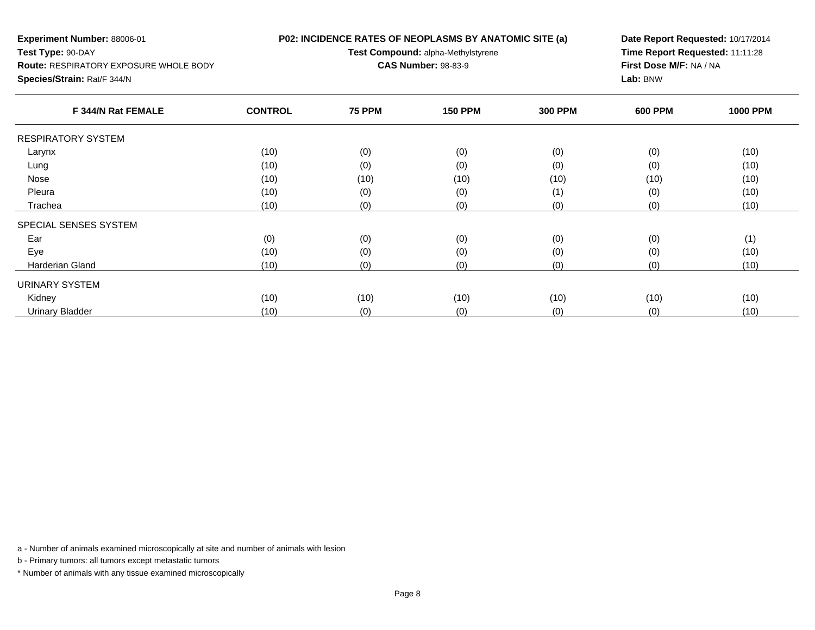| <b>Experiment Number: 88006-01</b><br>Test Type: 90-DAY<br><b>Route: RESPIRATORY EXPOSURE WHOLE BODY</b><br>Species/Strain: Rat/F 344/N<br>F 344/N Rat FEMALE |                | P02: INCIDENCE RATES OF NEOPLASMS BY ANATOMIC SITE (a)<br>Test Compound: alpha-Methylstyrene<br><b>CAS Number: 98-83-9</b> | Date Report Requested: 10/17/2014<br>Time Report Requested: 11:11:28<br>First Dose M/F: NA / NA<br>Lab: BNW |                |                |                 |
|---------------------------------------------------------------------------------------------------------------------------------------------------------------|----------------|----------------------------------------------------------------------------------------------------------------------------|-------------------------------------------------------------------------------------------------------------|----------------|----------------|-----------------|
|                                                                                                                                                               | <b>CONTROL</b> | <b>75 PPM</b>                                                                                                              | <b>150 PPM</b>                                                                                              | <b>300 PPM</b> | <b>600 PPM</b> | <b>1000 PPM</b> |
| <b>RESPIRATORY SYSTEM</b>                                                                                                                                     |                |                                                                                                                            |                                                                                                             |                |                |                 |
| Larynx                                                                                                                                                        | (10)           | (0)                                                                                                                        | (0)                                                                                                         | (0)            | (0)            | (10)            |
| Lung                                                                                                                                                          | (10)           | (0)                                                                                                                        | (0)                                                                                                         | (0)            | (0)            | (10)            |
| Nose                                                                                                                                                          | (10)           | (10)                                                                                                                       | (10)                                                                                                        | (10)           | (10)           | (10)            |
| Pleura                                                                                                                                                        | (10)           | (0)                                                                                                                        | (0)                                                                                                         | (1)            | (0)            | (10)            |

a (10) (0) (0) (0) (0) (0) (0) (10)

r (0) (0) (0) (0) (0) (0) (0) (0) (0) (1) (1)

e (10) (10) (0) (0) (0) (0) (0) (0) (0) (10)

(10) (10) (10) (10) (10) (10)

d (10) (0) (0) (0) (0) (0) (0) (10)

(10) (0) (0) (0) (0) (10)

a - Number of animals examined microscopically at site and number of animals with lesion

b - Primary tumors: all tumors except metastatic tumors

Trachea

Ear

Eye

Kidney

SPECIAL SENSES SYSTEM

Harderian Gland

URINARY SYSTEM

Urinary Bladder